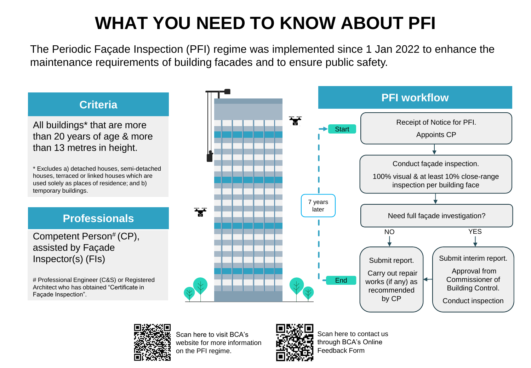## **WHAT YOU NEED TO KNOW ABOUT PFI**

The Periodic Façade Inspection (PFI) regime was implemented since 1 Jan 2022 to enhance the maintenance requirements of building facades and to ensure public safety.



All buildings\* that are more than 20 years of age & more than 13 metres in height.

\* Excludes a) detached houses, semi-detached houses, terraced or linked houses which are used solely as places of residence; and b) temporary buildings.

## **Professionals**

Competent Person# (CP), assisted by Façade Inspector(s) (FIs)

# Professional Engineer (C&S) or Registered Architect who has obtained "Certificate in Façade Inspection".





Scan here to visit BCA's website for more information on the PFI regime.

Scan here to contact us through BCA's Online Feedback Form